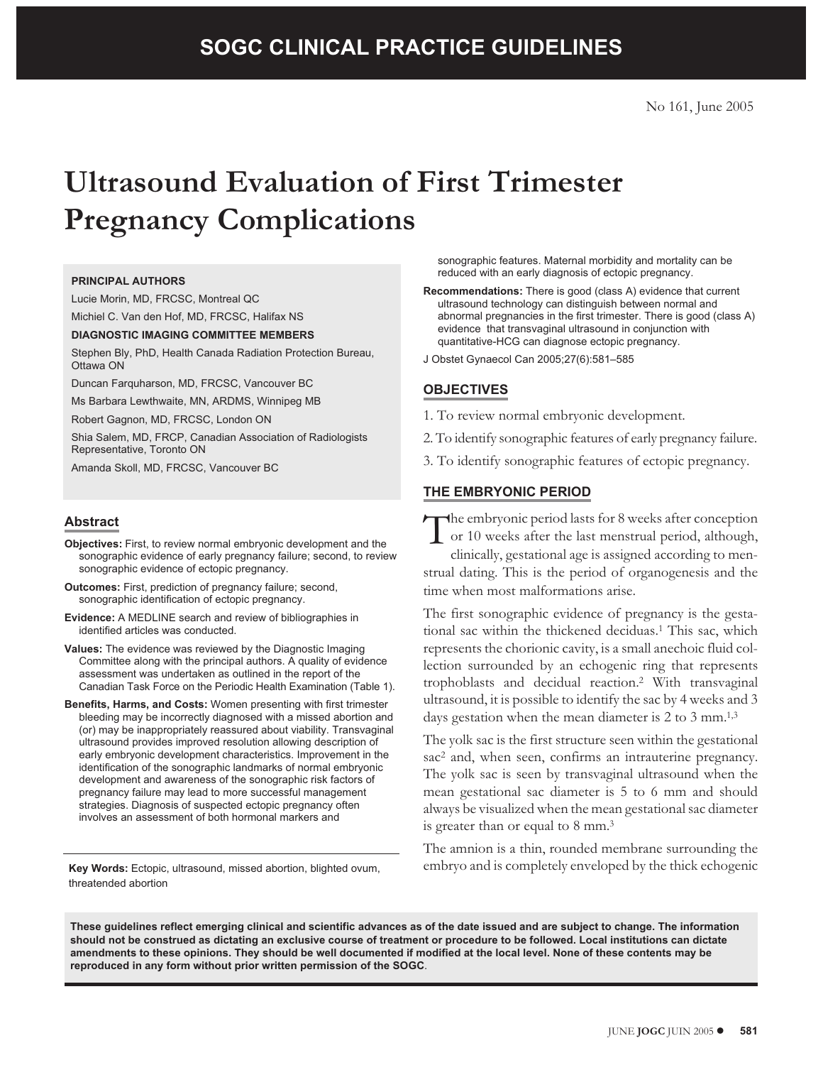# **Ultrasound Evaluation of First Trimester Pregnancy Complications**

#### **PRINCIPAL AUTHORS**

Lucie Morin, MD, FRCSC, Montreal QC Michiel C. Van den Hof, MD, FRCSC, Halifax NS

#### **DIAGNOSTIC IMAGING COMMITTEE MEMBERS**

Stephen Bly, PhD, Health Canada Radiation Protection Bureau, Ottawa ON

Duncan Farquharson, MD, FRCSC, Vancouver BC

Ms Barbara Lewthwaite, MN, ARDMS, Winnipeg MB

Robert Gagnon, MD, FRCSC, London ON

Shia Salem, MD, FRCP, Canadian Association of Radiologists Representative, Toronto ON

Amanda Skoll, MD, FRCSC, Vancouver BC

### **Abstract**

- **Objectives:** First, to review normal embryonic development and the sonographic evidence of early pregnancy failure; second, to review sonographic evidence of ectopic pregnancy.
- **Outcomes:** First, prediction of pregnancy failure; second, sonographic identification of ectopic pregnancy.
- **Evidence:** A MEDLINE search and review of bibliographies in identified articles was conducted.
- **Values:** The evidence was reviewed by the Diagnostic Imaging Committee along with the principal authors. A quality of evidence assessment was undertaken as outlined in the report of the Canadian Task Force on the Periodic Health Examination (Table 1).
- **Benefits, Harms, and Costs:** Women presenting with first trimester bleeding may be incorrectly diagnosed with a missed abortion and (or) may be inappropriately reassured about viability. Transvaginal ultrasound provides improved resolution allowing description of early embryonic development characteristics. Improvement in the identification of the sonographic landmarks of normal embryonic development and awareness of the sonographic risk factors of pregnancy failure may lead to more successful management strategies. Diagnosis of suspected ectopic pregnancy often involves an assessment of both hormonal markers and

**Key Words:** Ectopic, ultrasound, missed abortion, blighted ovum, threatended abortion

sonographic features. Maternal morbidity and mortality can be reduced with an early diagnosis of ectopic pregnancy.

**Recommendations:** There is good (class A) evidence that current ultrasound technology can distinguish between normal and abnormal pregnancies in the first trimester. There is good (class A) evidence that transvaginal ultrasound in conjunction with quantitative-HCG can diagnose ectopic pregnancy.

J Obstet Gynaecol Can 2005;27(6):581–585

## **OBJECTIVES**

- 1. To review normal embryonic development.
- 2. To identify sonographic features of early pregnancy failure.
- 3. To identify sonographic features of ectopic pregnancy.

## **THE EMBRYONIC PERIOD**

The embryonic period lasts for 8 weeks after conception<br>or 10 weeks after the last menstrual period, although,<br>clinically gestational age is assigned according to men or 10 weeks after the last menstrual period, although, clinically, gestational age is assigned according to menstrual dating. This is the period of organogenesis and the time when most malformations arise.

The first sonographic evidence of pregnancy is the gestational sac within the thickened deciduas.<sup>1</sup> This sac, which represents the chorionic cavity, is a small anechoic fluid collection surrounded by an echogenic ring that represents trophoblasts and decidual reaction.2 With transvaginal ultrasound, it is possible to identify the sac by 4 weeks and 3 days gestation when the mean diameter is 2 to 3 mm.<sup>1,3</sup>

The yolk sac is the first structure seen within the gestational sac<sup>2</sup> and, when seen, confirms an intrauterine pregnancy. The yolk sac is seen by transvaginal ultrasound when the mean gestational sac diameter is 5 to 6 mm and should always be visualized when the mean gestational sac diameter is greater than or equal to 8 mm.<sup>3</sup>

The amnion is a thin, rounded membrane surrounding the embryo and is completely enveloped by the thick echogenic

**These guidelines reflect emerging clinical and scientific advances as of the date issued and are subject to change. The information should not be construed as dictating an exclusive course of treatment or procedure to be followed. Local institutions can dictate amendments to these opinions. They should be well documented if modified at the local level. None of these contents may be reproduced in any form without prior written permission of the SOGC**.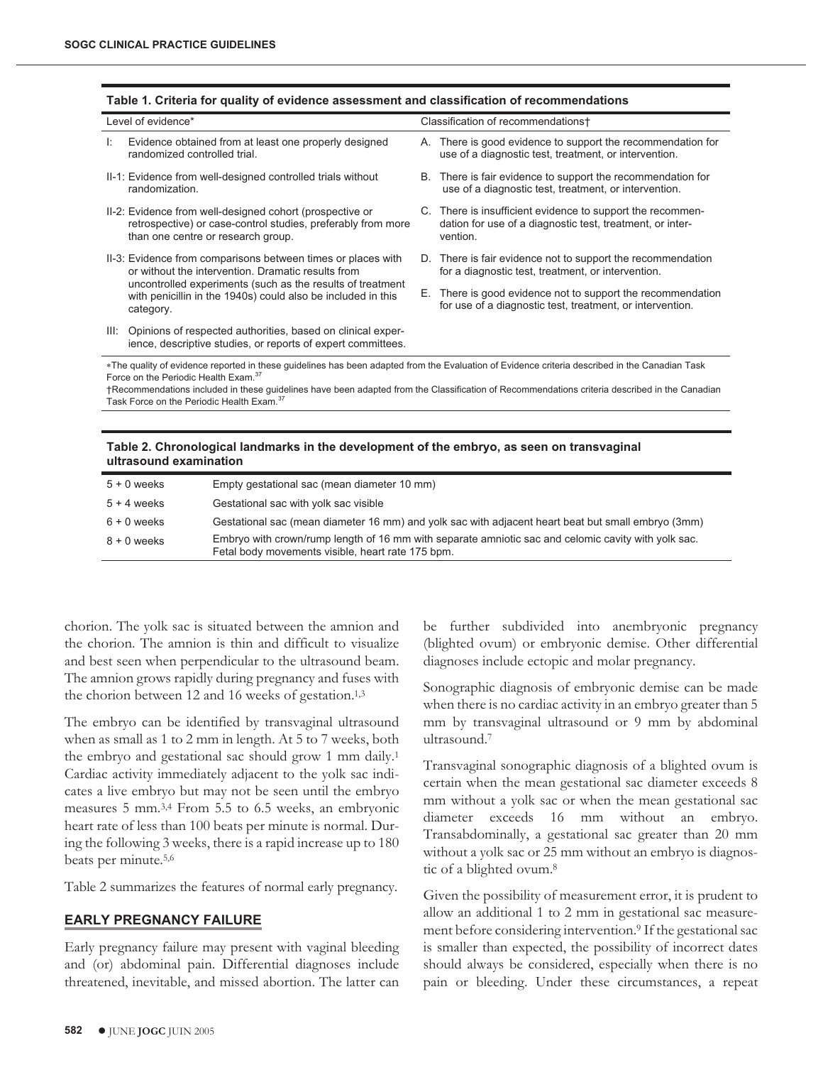| Level of evidence*                                                                                                                                                                                                                                         |                                                                                                                                                                                                                                                               | Classification of recommendations+ |                                                                                                                                     |  |  |
|------------------------------------------------------------------------------------------------------------------------------------------------------------------------------------------------------------------------------------------------------------|---------------------------------------------------------------------------------------------------------------------------------------------------------------------------------------------------------------------------------------------------------------|------------------------------------|-------------------------------------------------------------------------------------------------------------------------------------|--|--|
| Ŀ.                                                                                                                                                                                                                                                         | Evidence obtained from at least one properly designed<br>randomized controlled trial.                                                                                                                                                                         |                                    | A. There is good evidence to support the recommendation for<br>use of a diagnostic test, treatment, or intervention.                |  |  |
|                                                                                                                                                                                                                                                            | II-1: Evidence from well-designed controlled trials without<br>randomization.                                                                                                                                                                                 | В.                                 | There is fair evidence to support the recommendation for<br>use of a diagnostic test, treatment, or intervention.                   |  |  |
|                                                                                                                                                                                                                                                            | II-2: Evidence from well-designed cohort (prospective or<br>retrospective) or case-control studies, preferably from more<br>than one centre or research group.                                                                                                |                                    | C. There is insufficient evidence to support the recommen-<br>dation for use of a diagnostic test, treatment, or inter-<br>vention. |  |  |
|                                                                                                                                                                                                                                                            | II-3: Evidence from comparisons between times or places with<br>or without the intervention. Dramatic results from<br>uncontrolled experiments (such as the results of treatment<br>with penicillin in the 1940s) could also be included in this<br>category. |                                    | D. There is fair evidence not to support the recommendation<br>for a diagnostic test, treatment, or intervention.                   |  |  |
|                                                                                                                                                                                                                                                            |                                                                                                                                                                                                                                                               | Е.                                 | There is good evidence not to support the recommendation<br>for use of a diagnostic test, treatment, or intervention.               |  |  |
| III:                                                                                                                                                                                                                                                       | Opinions of respected authorities, based on clinical exper-<br>ience, descriptive studies, or reports of expert committees.                                                                                                                                   |                                    |                                                                                                                                     |  |  |
| *The quality of evidence reported in these guidelines has been adapted from the Evaluation of Evidence criteria described in the Canadian Task                                                                                                             |                                                                                                                                                                                                                                                               |                                    |                                                                                                                                     |  |  |
| Force on the Periodic Health Exam. <sup>37</sup><br>†Recommendations included in these guidelines have been adapted from the Classification of Recommendations criteria described in the Canadian<br>Task Force on the Periodic Health Exam. <sup>37</sup> |                                                                                                                                                                                                                                                               |                                    |                                                                                                                                     |  |  |
|                                                                                                                                                                                                                                                            |                                                                                                                                                                                                                                                               |                                    |                                                                                                                                     |  |  |

#### **Table 1. Criteria for quality of evidence assessment and classification of recommendations**

**Table 2. Chronological landmarks in the development of the embryo, as seen on transvaginal ultrasound examination**

| $5 + 0$ weeks | Empty gestational sac (mean diameter 10 mm)                                                                                                              |
|---------------|----------------------------------------------------------------------------------------------------------------------------------------------------------|
| $5 + 4$ weeks | Gestational sac with yolk sac visible                                                                                                                    |
| $6 + 0$ weeks | Gestational sac (mean diameter 16 mm) and yolk sac with adjacent heart beat but small embryo (3mm)                                                       |
| 8 + 0 weeks   | Embryo with crown/rump length of 16 mm with separate amniotic sac and celomic cavity with yolk sac.<br>Fetal body movements visible, heart rate 175 bpm. |

chorion. The yolk sac is situated between the amnion and the chorion. The amnion is thin and difficult to visualize and best seen when perpendicular to the ultrasound beam. The amnion grows rapidly during pregnancy and fuses with the chorion between 12 and 16 weeks of gestation.<sup>1,3</sup>

The embryo can be identified by transvaginal ultrasound when as small as 1 to 2 mm in length. At 5 to 7 weeks, both the embryo and gestational sac should grow 1 mm daily.1 Cardiac activity immediately adjacent to the yolk sac indicates a live embryo but may not be seen until the embryo measures 5 mm.3,4 From 5.5 to 6.5 weeks, an embryonic heart rate of less than 100 beats per minute is normal. During the following 3 weeks, there is a rapid increase up to 180 beats per minute.5,6

Table 2 summarizes the features of normal early pregnancy.

#### **EARLY PREGNANCY FAILURE**

Early pregnancy failure may present with vaginal bleeding and (or) abdominal pain. Differential diagnoses include threatened, inevitable, and missed abortion. The latter can be further subdivided into anembryonic pregnancy (blighted ovum) or embryonic demise. Other differential diagnoses include ectopic and molar pregnancy.

Sonographic diagnosis of embryonic demise can be made when there is no cardiac activity in an embryo greater than 5 mm by transvaginal ultrasound or 9 mm by abdominal ultrasound.7

Transvaginal sonographic diagnosis of a blighted ovum is certain when the mean gestational sac diameter exceeds 8 mm without a yolk sac or when the mean gestational sac diameter exceeds 16 mm without an embryo. Transabdominally, a gestational sac greater than 20 mm without a yolk sac or 25 mm without an embryo is diagnostic of a blighted ovum.8

Given the possibility of measurement error, it is prudent to allow an additional 1 to 2 mm in gestational sac measurement before considering intervention.9 If the gestational sac is smaller than expected, the possibility of incorrect dates should always be considered, especially when there is no pain or bleeding. Under these circumstances, a repeat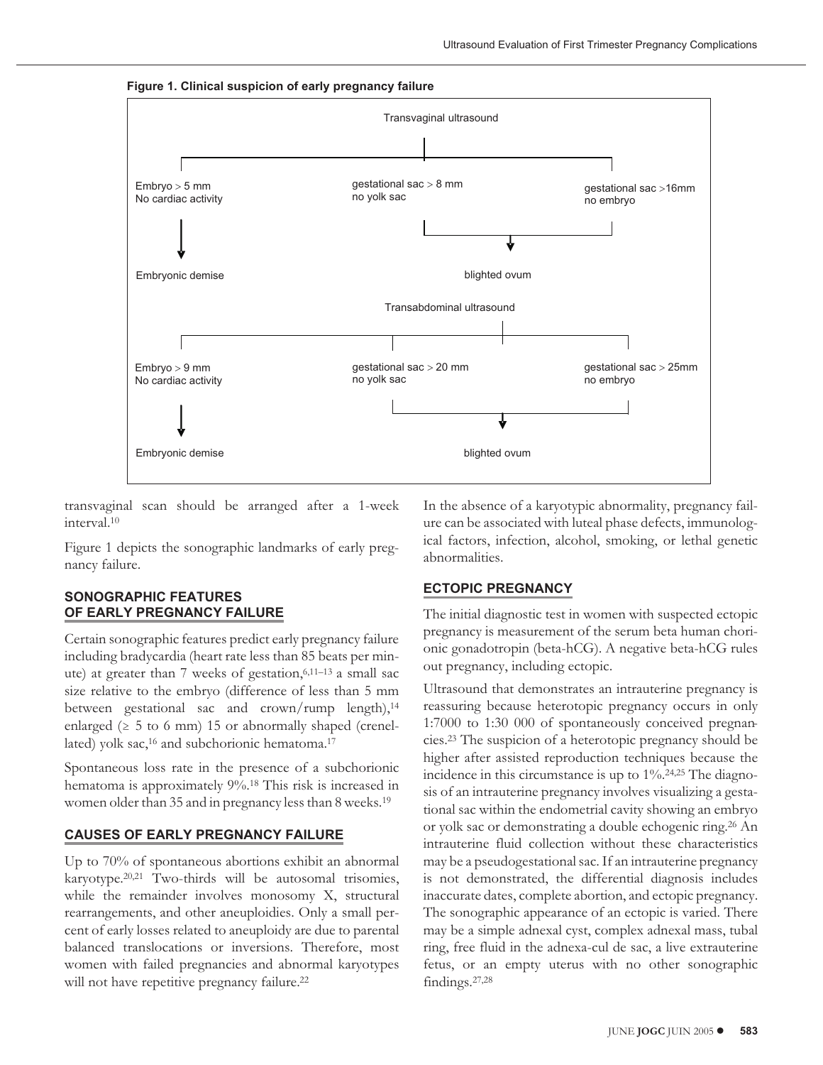**Figure 1. Clinical suspicion of early pregnancy failure**



transvaginal scan should be arranged after a 1-week interval.10

Figure 1 depicts the sonographic landmarks of early pregnancy failure.

## **SONOGRAPHIC FEATURES OF EARLY PREGNANCY FAILURE**

Certain sonographic features predict early pregnancy failure including bradycardia (heart rate less than 85 beats per minute) at greater than 7 weeks of gestation, $6,11-13$  a small sac size relative to the embryo (difference of less than 5 mm between gestational sac and crown/rump length),<sup>14</sup> enlarged ( $\geq 5$  to 6 mm) 15 or abnormally shaped (crenellated) yolk sac,<sup>16</sup> and subchorionic hematoma.<sup>17</sup>

Spontaneous loss rate in the presence of a subchorionic hematoma is approximately 9%.18 This risk is increased in women older than 35 and in pregnancy less than 8 weeks.19

## **CAUSES OF EARLY PREGNANCY FAILURE**

Up to 70% of spontaneous abortions exhibit an abnormal karyotype.20,21 Two-thirds will be autosomal trisomies, while the remainder involves monosomy X, structural rearrangements, and other aneuploidies. Only a small percent of early losses related to aneuploidy are due to parental balanced translocations or inversions. Therefore, most women with failed pregnancies and abnormal karyotypes will not have repetitive pregnancy failure.<sup>22</sup>

In the absence of a karyotypic abnormality, pregnancy failure can be associated with luteal phase defects, immunological factors, infection, alcohol, smoking, or lethal genetic abnormalities.

## **ECTOPIC PREGNANCY**

The initial diagnostic test in women with suspected ectopic pregnancy is measurement of the serum beta human chorionic gonadotropin (beta-hCG). A negative beta-hCG rules out pregnancy, including ectopic.

Ultrasound that demonstrates an intrauterine pregnancy is reassuring because heterotopic pregnancy occurs in only 1:7000 to 1:30 000 of spontaneously conceived pregnancies.23 The suspicion of a heterotopic pregnancy should be higher after assisted reproduction techniques because the incidence in this circumstance is up to 1%.24,25 The diagnosis of an intrauterine pregnancy involves visualizing a gestational sac within the endometrial cavity showing an embryo or yolk sac or demonstrating a double echogenic ring.26 An intrauterine fluid collection without these characteristics may be a pseudogestational sac. If an intrauterine pregnancy is not demonstrated, the differential diagnosis includes inaccurate dates, complete abortion, and ectopic pregnancy. The sonographic appearance of an ectopic is varied. There may be a simple adnexal cyst, complex adnexal mass, tubal ring, free fluid in the adnexa-cul de sac, a live extrauterine fetus, or an empty uterus with no other sonographic findings.27,28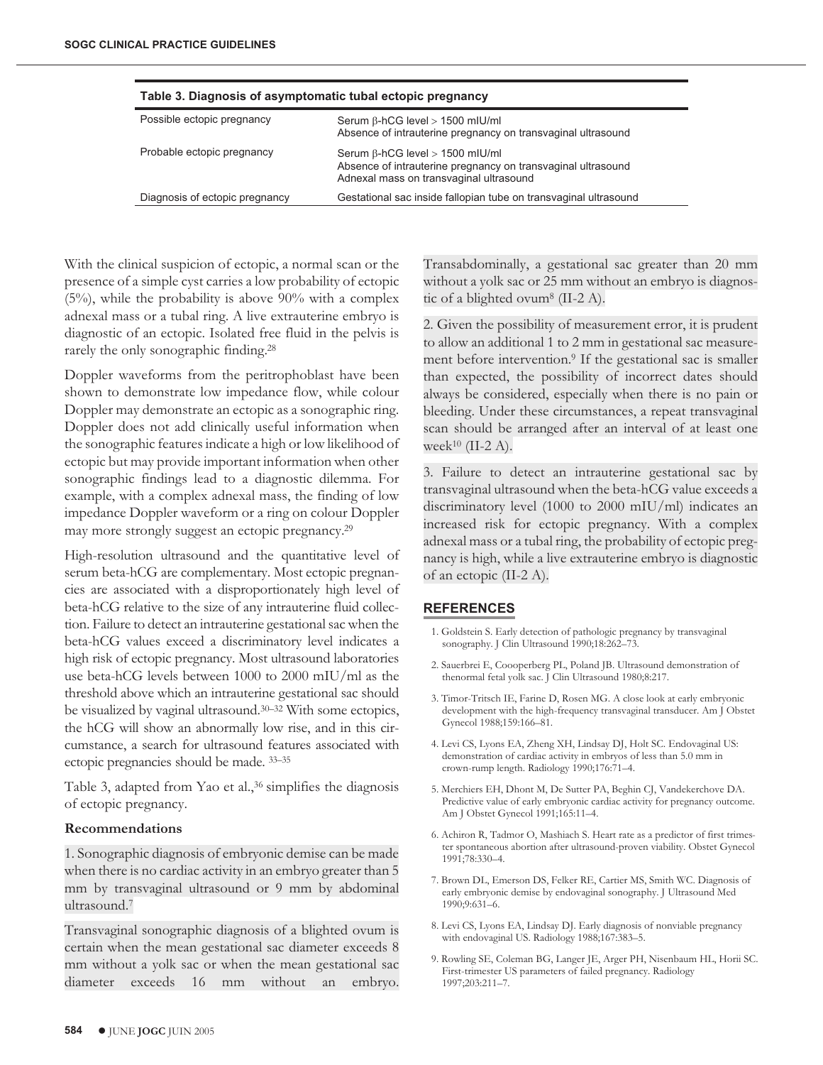| Table 3. Diagnosis of asymptomatic tubal ectopic pregnancy |                                                                                                                                                   |  |  |  |
|------------------------------------------------------------|---------------------------------------------------------------------------------------------------------------------------------------------------|--|--|--|
| Possible ectopic pregnancy                                 | Serum B-hCG level > 1500 mIU/ml<br>Absence of intrauterine pregnancy on transvaginal ultrasound                                                   |  |  |  |
| Probable ectopic pregnancy                                 | Serum $\beta$ -hCG level > 1500 mIU/ml<br>Absence of intrauterine pregnancy on transvaginal ultrasound<br>Adnexal mass on transvaginal ultrasound |  |  |  |
| Diagnosis of ectopic pregnancy                             | Gestational sac inside fallopian tube on transvaginal ultrasound                                                                                  |  |  |  |

With the clinical suspicion of ectopic, a normal scan or the presence of a simple cyst carries a low probability of ectopic (5%), while the probability is above 90% with a complex adnexal mass or a tubal ring. A live extrauterine embryo is diagnostic of an ectopic. Isolated free fluid in the pelvis is rarely the only sonographic finding.28

Doppler waveforms from the peritrophoblast have been shown to demonstrate low impedance flow, while colour Doppler may demonstrate an ectopic as a sonographic ring. Doppler does not add clinically useful information when the sonographic features indicate a high or low likelihood of ectopic but may provide important information when other sonographic findings lead to a diagnostic dilemma. For example, with a complex adnexal mass, the finding of low impedance Doppler waveform or a ring on colour Doppler may more strongly suggest an ectopic pregnancy.29

High-resolution ultrasound and the quantitative level of serum beta-hCG are complementary. Most ectopic pregnancies are associated with a disproportionately high level of beta-hCG relative to the size of any intrauterine fluid collection. Failure to detect an intrauterine gestational sac when the beta-hCG values exceed a discriminatory level indicates a high risk of ectopic pregnancy. Most ultrasound laboratories use beta-hCG levels between 1000 to 2000 mIU/ml as the threshold above which an intrauterine gestational sac should be visualized by vaginal ultrasound.30–32 With some ectopics, the hCG will show an abnormally low rise, and in this circumstance, a search for ultrasound features associated with ectopic pregnancies should be made. 33–35

Table 3, adapted from Yao et al.,<sup>36</sup> simplifies the diagnosis of ectopic pregnancy.

#### **Recommendations**

1. Sonographic diagnosis of embryonic demise can be made when there is no cardiac activity in an embryo greater than 5 mm by transvaginal ultrasound or 9 mm by abdominal ultrasound.7

Transvaginal sonographic diagnosis of a blighted ovum is certain when the mean gestational sac diameter exceeds 8 mm without a yolk sac or when the mean gestational sac diameter exceeds 16 mm without an embryo. Transabdominally, a gestational sac greater than 20 mm without a yolk sac or 25 mm without an embryo is diagnostic of a blighted ovum<sup>8</sup> (II-2 A).

2. Given the possibility of measurement error, it is prudent to allow an additional 1 to 2 mm in gestational sac measurement before intervention.<sup>9</sup> If the gestational sac is smaller than expected, the possibility of incorrect dates should always be considered, especially when there is no pain or bleeding. Under these circumstances, a repeat transvaginal scan should be arranged after an interval of at least one week<sup>10</sup> (II-2 A).

3. Failure to detect an intrauterine gestational sac by transvaginal ultrasound when the beta-hCG value exceeds a discriminatory level (1000 to 2000 mIU/ml) indicates an increased risk for ectopic pregnancy. With a complex adnexal mass or a tubal ring, the probability of ectopic pregnancy is high, while a live extrauterine embryo is diagnostic of an ectopic (II-2 A).

## **REFERENCES**

- 1. Goldstein S. Early detection of pathologic pregnancy by transvaginal sonography. J Clin Ultrasound 1990;18:262–73.
- 2. Sauerbrei E, Coooperberg PL, Poland JB. Ultrasound demonstration of thenormal fetal yolk sac. J Clin Ultrasound 1980;8:217.
- 3. Timor-Tritsch IE, Farine D, Rosen MG. A close look at early embryonic development with the high-frequency transvaginal transducer. Am J Obstet Gynecol 1988;159:166–81.
- 4. Levi CS, Lyons EA, Zheng XH, Lindsay DJ, Holt SC. Endovaginal US: demonstration of cardiac activity in embryos of less than 5.0 mm in crown-rump length. Radiology 1990;176:71–4.
- 5. Merchiers EH, Dhont M, De Sutter PA, Beghin CJ, Vandekerchove DA. Predictive value of early embryonic cardiac activity for pregnancy outcome. Am J Obstet Gynecol 1991;165:11–4.
- 6. Achiron R, Tadmor O, Mashiach S. Heart rate as a predictor of first trimester spontaneous abortion after ultrasound-proven viability. Obstet Gynecol 1991;78:330–4.
- 7. Brown DL, Emerson DS, Felker RE, Cartier MS, Smith WC. Diagnosis of early embryonic demise by endovaginal sonography. J Ultrasound Med 1990;9:631–6.
- 8. Levi CS, Lyons EA, Lindsay DJ. Early diagnosis of nonviable pregnancy with endovaginal US. Radiology 1988;167:383–5.
- 9. Rowling SE, Coleman BG, Langer JE, Arger PH, Nisenbaum HL, Horii SC. First-trimester US parameters of failed pregnancy. Radiology 1997;203:211–7.